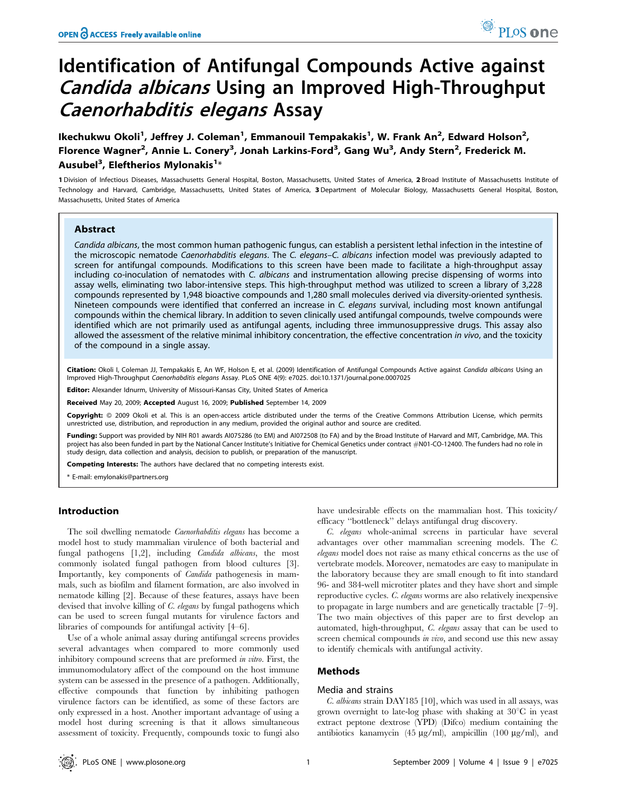# Identification of Antifungal Compounds Active against Candida albicans Using an Improved High-Throughput Caenorhabditis elegans Assay

Ikechukwu Okoli<sup>1</sup>, Jeffrey J. Coleman<sup>1</sup>, Emmanouil Tempakakis<sup>1</sup>, W. Frank An<sup>2</sup>, Edward Holson<sup>2</sup>, Florence Wagner<sup>2</sup>, Annie L. Conery<sup>3</sup>, Jonah Larkins-Ford<sup>3</sup>, Gang Wu<sup>3</sup>, Andy Stern<sup>2</sup>, Frederick M. Ausubel<sup>3</sup>, Eleftherios Mylonakis<sup>1</sup>\*

1 Division of Infectious Diseases, Massachusetts General Hospital, Boston, Massachusetts, United States of America, 2 Broad Institute of Massachusetts Institute of Technology and Harvard, Cambridge, Massachusetts, United States of America, 3 Department of Molecular Biology, Massachusetts General Hospital, Boston, Massachusetts, United States of America

# Abstract

Candida albicans, the most common human pathogenic fungus, can establish a persistent lethal infection in the intestine of the microscopic nematode Caenorhabditis elegans. The C. elegans-C. albicans infection model was previously adapted to screen for antifungal compounds. Modifications to this screen have been made to facilitate a high-throughput assay including co-inoculation of nematodes with C. albicans and instrumentation allowing precise dispensing of worms into assay wells, eliminating two labor-intensive steps. This high-throughput method was utilized to screen a library of 3,228 compounds represented by 1,948 bioactive compounds and 1,280 small molecules derived via diversity-oriented synthesis. Nineteen compounds were identified that conferred an increase in C. elegans survival, including most known antifungal compounds within the chemical library. In addition to seven clinically used antifungal compounds, twelve compounds were identified which are not primarily used as antifungal agents, including three immunosuppressive drugs. This assay also allowed the assessment of the relative minimal inhibitory concentration, the effective concentration in vivo, and the toxicity of the compound in a single assay.

Citation: Okoli I, Coleman JJ, Tempakakis E, An WF, Holson E, et al. (2009) Identification of Antifungal Compounds Active against Candida albicans Using an Improved High-Throughput Caenorhabditis elegans Assay. PLoS ONE 4(9): e7025. doi:10.1371/journal.pone.0007025

Editor: Alexander Idnurm, University of Missouri-Kansas City, United States of America

Received May 20, 2009; Accepted August 16, 2009; Published September 14, 2009

Copyright: @ 2009 Okoli et al. This is an open-access article distributed under the terms of the Creative Commons Attribution License, which permits unrestricted use, distribution, and reproduction in any medium, provided the original author and source are credited.

Funding: Support was provided by NIH R01 awards AI075286 (to EM) and AI072508 (to FA) and by the Broad Institute of Harvard and MIT, Cambridge, MA. This project has also been funded in part by the National Cancer Institute's Initiative for Chemical Genetics under contract *#*N01-CO-12400. The funders had no role in study design, data collection and analysis, decision to publish, or preparation of the manuscript.

Competing Interests: The authors have declared that no competing interests exist.

\* E-mail: emylonakis@partners.org

#### Introduction

The soil dwelling nematode *Caenorhabditis elegans* has become a model host to study mammalian virulence of both bacterial and fungal pathogens [1,2], including Candida albicans, the most commonly isolated fungal pathogen from blood cultures [3]. Importantly, key components of Candida pathogenesis in mammals, such as biofilm and filament formation, are also involved in nematode killing [2]. Because of these features, assays have been devised that involve killing of C. elegans by fungal pathogens which can be used to screen fungal mutants for virulence factors and libraries of compounds for antifungal activity [4–6].

Use of a whole animal assay during antifungal screens provides several advantages when compared to more commonly used inhibitory compound screens that are preformed in vitro. First, the immunomodulatory affect of the compound on the host immune system can be assessed in the presence of a pathogen. Additionally, effective compounds that function by inhibiting pathogen virulence factors can be identified, as some of these factors are only expressed in a host. Another important advantage of using a model host during screening is that it allows simultaneous assessment of toxicity. Frequently, compounds toxic to fungi also have undesirable effects on the mammalian host. This toxicity/ efficacy ''bottleneck'' delays antifungal drug discovery.

C. elegans whole-animal screens in particular have several advantages over other mammalian screening models. The C. elegans model does not raise as many ethical concerns as the use of vertebrate models. Moreover, nematodes are easy to manipulate in the laboratory because they are small enough to fit into standard 96- and 384-well microtiter plates and they have short and simple reproductive cycles. C. elegans worms are also relatively inexpensive to propagate in large numbers and are genetically tractable [7–9]. The two main objectives of this paper are to first develop an automated, high-throughput, C. elegans assay that can be used to screen chemical compounds in vivo, and second use this new assay to identify chemicals with antifungal activity.

# Methods

## Media and strains

C. albicans strain DAY185 [10], which was used in all assays, was grown overnight to late-log phase with shaking at  $30^{\circ}$ C in yeast extract peptone dextrose (YPD) (Difco) medium containing the antibiotics kanamycin (45  $\mu$ g/ml), ampicillin (100  $\mu$ g/ml), and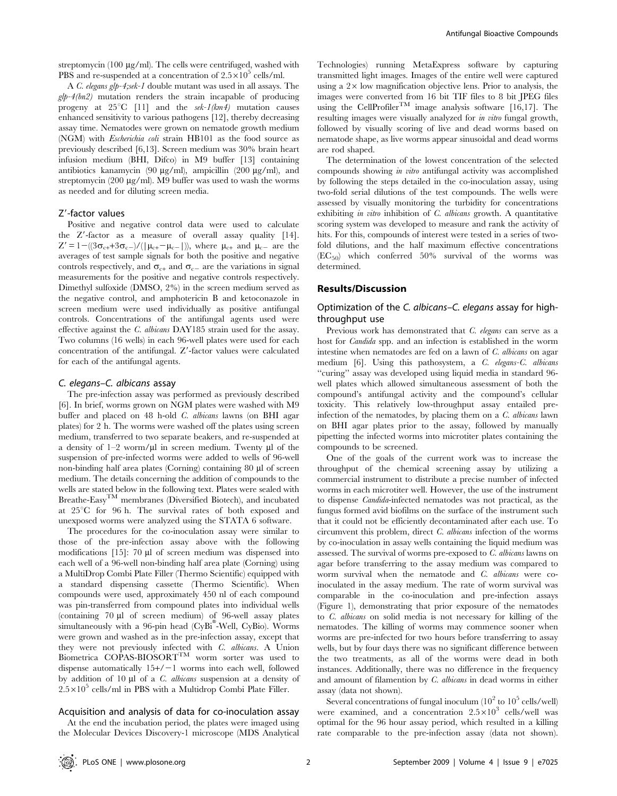streptomycin (100  $\mu$ g/ml). The cells were centrifuged, washed with PBS and re-suspended at a concentration of  $2.5 \times 10^5$  cells/ml.

A C. elegans glp-4;sek-1 double mutant was used in all assays. The  $glp-4(bn2)$  mutation renders the strain incapable of producing progeny at  $25^{\circ}\text{C}$  [11] and the sek-1(km4) mutation causes enhanced sensitivity to various pathogens [12], thereby decreasing assay time. Nematodes were grown on nematode growth medium (NGM) with Escherichia coli strain HB101 as the food source as previously described [6,13]. Screen medium was 30% brain heart infusion medium (BHI, Difco) in M9 buffer [13] containing antibiotics kanamycin (90  $\mu$ g/ml), ampicillin (200  $\mu$ g/ml), and streptomycin (200  $\mu$ g/ml). M9 buffer was used to wash the worms as needed and for diluting screen media.

## Z'-factor values

Positive and negative control data were used to calculate the  $Z'$ -factor as a measure of overall assay quality  $[14]$ .  $Z' = 1 - ((3\sigma_{c+} + 3\sigma_{c-})/(\mu_{c+} - \mu_{c-}))$ , where  $\mu_{c+}$  and  $\mu_{c-}$  are the averages of test sample signals for both the positive and negative controls respectively, and  $\sigma_{c+}$  and  $\sigma_{c-}$  are the variations in signal measurements for the positive and negative controls respectively. Dimethyl sulfoxide (DMSO, 2%) in the screen medium served as the negative control, and amphotericin B and ketoconazole in screen medium were used individually as positive antifungal controls. Concentrations of the antifungal agents used were effective against the C. albicans DAY185 strain used for the assay. Two columns (16 wells) in each 96-well plates were used for each concentration of the antifungal.  $Z'$ -factor values were calculated for each of the antifungal agents.

#### C. elegans–C. albicans assay

The pre-infection assay was performed as previously described [6]. In brief, worms grown on NGM plates were washed with M9 buffer and placed on 48 h-old C. albicans lawns (on BHI agar plates) for 2 h. The worms were washed off the plates using screen medium, transferred to two separate beakers, and re-suspended at a density of  $1-2$  worm/ $\mu$ l in screen medium. Twenty  $\mu$ l of the suspension of pre-infected worms were added to wells of 96-well non-binding half area plates (Corning) containing 80 µl of screen medium. The details concerning the addition of compounds to the wells are stated below in the following text. Plates were sealed with Breathe-EasyTM membranes (Diversified Biotech), and incubated at 25°C for 96 h. The survival rates of both exposed and unexposed worms were analyzed using the STATA 6 software.

The procedures for the co-inoculation assay were similar to those of the pre-infection assay above with the following modifications [15]: 70 µl of screen medium was dispensed into each well of a 96-well non-binding half area plate (Corning) using a MultiDrop Combi Plate Filler (Thermo Scientific) equipped with a standard dispensing cassette (Thermo Scientific). When compounds were used, approximately 450 nl of each compound was pin-transferred from compound plates into individual wells (containing 70 ml of screen medium) of 96-well assay plates simultaneously with a 96-pin head (CyBi<sup>®</sup>-Well, CyBio). Worms were grown and washed as in the pre-infection assay, except that they were not previously infected with C. albicans. A Union Biometrica COPAS-BIOSORT<sup>TM</sup> worm sorter was used to dispense automatically  $15+/-1$  worms into each well, followed by addition of 10  $\mu$ l of a *C. albicans* suspension at a density of  $2.5 \times 10^5$  cells/ml in PBS with a Multidrop Combi Plate Filler.

#### Acquisition and analysis of data for co-inoculation assay

At the end the incubation period, the plates were imaged using the Molecular Devices Discovery-1 microscope (MDS Analytical

Technologies) running MetaExpress software by capturing transmitted light images. Images of the entire well were captured using a  $2 \times$  low magnification objective lens. Prior to analysis, the images were converted from 16 bit TIF files to 8 bit JPEG files using the CellProfiler<sup>TM</sup> image analysis software [16,17]. The resulting images were visually analyzed for in vitro fungal growth, followed by visually scoring of live and dead worms based on nematode shape, as live worms appear sinusoidal and dead worms are rod shaped.

The determination of the lowest concentration of the selected compounds showing in vitro antifungal activity was accomplished by following the steps detailed in the co-inoculation assay, using two-fold serial dilutions of the test compounds. The wells were assessed by visually monitoring the turbidity for concentrations exhibiting *in vitro* inhibition of *C. albicans* growth. A quantitative scoring system was developed to measure and rank the activity of hits. For this, compounds of interest were tested in a series of twofold dilutions, and the half maximum effective concentrations  $(EC_{50})$  which conferred 50% survival of the worms was determined.

### Results/Discussion

# Optimization of the C. albicans–C. elegans assay for highthroughput use

Previous work has demonstrated that C. elegans can serve as a host for Candida spp. and an infection is established in the worm intestine when nematodes are fed on a lawn of C. albicans on agar medium [6]. Using this pathosystem, a C. elegans-C. albicans ''curing'' assay was developed using liquid media in standard 96 well plates which allowed simultaneous assessment of both the compound's antifungal activity and the compound's cellular toxicity. This relatively low-throughput assay entailed preinfection of the nematodes, by placing them on a C. albicans lawn on BHI agar plates prior to the assay, followed by manually pipetting the infected worms into microtiter plates containing the compounds to be screened.

One of the goals of the current work was to increase the throughput of the chemical screening assay by utilizing a commercial instrument to distribute a precise number of infected worms in each microtiter well. However, the use of the instrument to dispense Candida-infected nematodes was not practical, as the fungus formed avid biofilms on the surface of the instrument such that it could not be efficiently decontaminated after each use. To circumvent this problem, direct C. albicans infection of the worms by co-inoculation in assay wells containing the liquid medium was assessed. The survival of worms pre-exposed to C. albicans lawns on agar before transferring to the assay medium was compared to worm survival when the nematode and C. albicans were coinoculated in the assay medium. The rate of worm survival was comparable in the co-inoculation and pre-infection assays (Figure 1), demonstrating that prior exposure of the nematodes to C. albicans on solid media is not necessary for killing of the nematodes. The killing of worms may commence sooner when worms are pre-infected for two hours before transferring to assay wells, but by four days there was no significant difference between the two treatments, as all of the worms were dead in both instances. Additionally, there was no difference in the frequency and amount of filamention by C. albicans in dead worms in either assay (data not shown).

Several concentrations of fungal inoculum  $(10^2 \text{ to } 10^5 \text{ cells/well})$ were examined, and a concentration  $2.5 \times 10^3$  cells/well was optimal for the 96 hour assay period, which resulted in a killing rate comparable to the pre-infection assay (data not shown).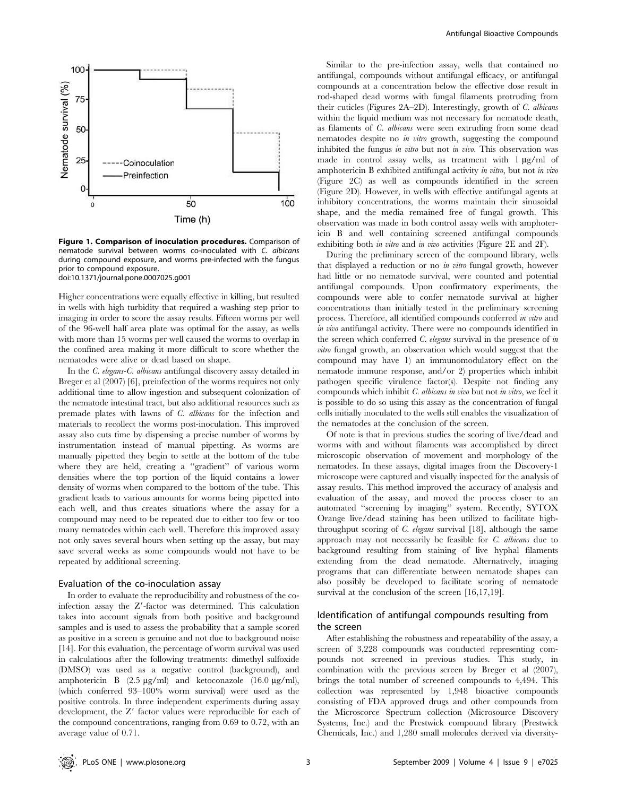

Figure 1. Comparison of inoculation procedures. Comparison of nematode survival between worms co-inoculated with C. albicans during compound exposure, and worms pre-infected with the fungus prior to compound exposure. doi:10.1371/journal.pone.0007025.g001

Higher concentrations were equally effective in killing, but resulted in wells with high turbidity that required a washing step prior to imaging in order to score the assay results. Fifteen worms per well of the 96-well half area plate was optimal for the assay, as wells with more than 15 worms per well caused the worms to overlap in the confined area making it more difficult to score whether the nematodes were alive or dead based on shape.

In the C. elegans-C. albicans antifungal discovery assay detailed in Breger et al (2007) [6], preinfection of the worms requires not only additional time to allow ingestion and subsequent colonization of the nematode intestinal tract, but also additional resources such as premade plates with lawns of C. albicans for the infection and materials to recollect the worms post-inoculation. This improved assay also cuts time by dispensing a precise number of worms by instrumentation instead of manual pipetting. As worms are manually pipetted they begin to settle at the bottom of the tube where they are held, creating a ''gradient'' of various worm densities where the top portion of the liquid contains a lower density of worms when compared to the bottom of the tube. This gradient leads to various amounts for worms being pipetted into each well, and thus creates situations where the assay for a compound may need to be repeated due to either too few or too many nematodes within each well. Therefore this improved assay not only saves several hours when setting up the assay, but may save several weeks as some compounds would not have to be repeated by additional screening.

#### Evaluation of the co-inoculation assay

In order to evaluate the reproducibility and robustness of the coinfection assay the  $Z'$ -factor was determined. This calculation takes into account signals from both positive and background samples and is used to assess the probability that a sample scored as positive in a screen is genuine and not due to background noise [14]. For this evaluation, the percentage of worm survival was used in calculations after the following treatments: dimethyl sulfoxide (DMSO) was used as a negative control (background), and amphotericin B  $(2.5 \text{ µg/ml})$  and ketoconazole  $(16.0 \text{ µg/ml})$ , (which conferred 93–100% worm survival) were used as the positive controls. In three independent experiments during assay development, the  $Z'$  factor values were reproducible for each of the compound concentrations, ranging from 0.69 to 0.72, with an average value of 0.71.

Similar to the pre-infection assay, wells that contained no antifungal, compounds without antifungal efficacy, or antifungal compounds at a concentration below the effective dose result in rod-shaped dead worms with fungal filaments protruding from their cuticles (Figures 2A–2D). Interestingly, growth of C. albicans within the liquid medium was not necessary for nematode death, as filaments of C. albicans were seen extruding from some dead nematodes despite no *in vitro* growth, suggesting the compound inhibited the fungus in vitro but not in vivo. This observation was made in control assay wells, as treatment with  $1 \mu g/ml$  of amphotericin B exhibited antifungal activity in vitro, but not in vivo (Figure 2C) as well as compounds identified in the screen (Figure 2D). However, in wells with effective antifungal agents at inhibitory concentrations, the worms maintain their sinusoidal shape, and the media remained free of fungal growth. This observation was made in both control assay wells with amphotericin B and well containing screened antifungal compounds exhibiting both *in vitro* and *in vivo* activities (Figure 2E and 2F).

During the preliminary screen of the compound library, wells that displayed a reduction or no in vitro fungal growth, however had little or no nematode survival, were counted and potential antifungal compounds. Upon confirmatory experiments, the compounds were able to confer nematode survival at higher concentrations than initially tested in the preliminary screening process. Therefore, all identified compounds conferred in vitro and in vivo antifungal activity. There were no compounds identified in the screen which conferred  $C$ . elegans survival in the presence of in vitro fungal growth, an observation which would suggest that the compound may have 1) an immunomodulatory effect on the nematode immune response, and/or 2) properties which inhibit pathogen specific virulence factor(s). Despite not finding any compounds which inhibit C. albicans in vivo but not in vitro, we feel it is possible to do so using this assay as the concentration of fungal cells initially inoculated to the wells still enables the visualization of the nematodes at the conclusion of the screen.

Of note is that in previous studies the scoring of live/dead and worms with and without filaments was accomplished by direct microscopic observation of movement and morphology of the nematodes. In these assays, digital images from the Discovery-1 microscope were captured and visually inspected for the analysis of assay results. This method improved the accuracy of analysis and evaluation of the assay, and moved the process closer to an automated ''screening by imaging'' system. Recently, SYTOX Orange live/dead staining has been utilized to facilitate highthroughput scoring of C. elegans survival [18], although the same approach may not necessarily be feasible for C. albicans due to background resulting from staining of live hyphal filaments extending from the dead nematode. Alternatively, imaging programs that can differentiate between nematode shapes can also possibly be developed to facilitate scoring of nematode survival at the conclusion of the screen  $[16,17,19]$ .

# Identification of antifungal compounds resulting from the screen

After establishing the robustness and repeatability of the assay, a screen of 3,228 compounds was conducted representing compounds not screened in previous studies. This study, in combination with the previous screen by Breger et al (2007), brings the total number of screened compounds to 4,494. This collection was represented by 1,948 bioactive compounds consisting of FDA approved drugs and other compounds from the Microscorce Spectrum collection (Microsource Discovery Systems, Inc.) and the Prestwick compound library (Prestwick Chemicals, Inc.) and 1,280 small molecules derived via diversity-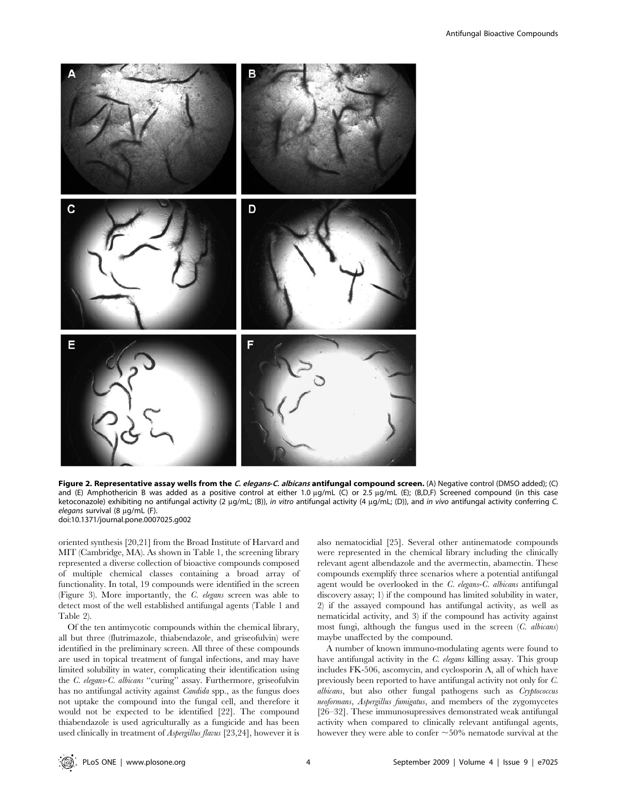

Figure 2. Representative assay wells from the C. elegans-C. albicans antifungal compound screen. (A) Negative control (DMSO added); (C) and (E) Amphothericin B was added as a positive control at either 1.0  $\mu$ g/mL (C) or 2.5  $\mu$ g/mL (E); (B,D,F) Screened compound (in this case ketoconazole) exhibiting no antifungal activity (2 µg/mL; (B)), in vitro antifungal activity (4 µg/mL; (D)), and in vivo antifungal activity conferring C. elegans survival  $(8 \mu q/mL)$  (F). doi:10.1371/journal.pone.0007025.g002

oriented synthesis [20,21] from the Broad Institute of Harvard and MIT (Cambridge, MA). As shown in Table 1, the screening library represented a diverse collection of bioactive compounds composed of multiple chemical classes containing a broad array of functionality. In total, 19 compounds were identified in the screen (Figure 3). More importantly, the C. elegans screen was able to detect most of the well established antifungal agents (Table 1 and Table 2).

Of the ten antimycotic compounds within the chemical library, all but three (flutrimazole, thiabendazole, and griseofulvin) were identified in the preliminary screen. All three of these compounds are used in topical treatment of fungal infections, and may have limited solubility in water, complicating their identification using the C. elegans-C. albicans ''curing'' assay. Furthermore, griseofulvin has no antifungal activity against *Candida* spp., as the fungus does not uptake the compound into the fungal cell, and therefore it would not be expected to be identified [22]. The compound thiabendazole is used agriculturally as a fungicide and has been used clinically in treatment of Aspergillus flavus [23,24], however it is also nematocidial [25]. Several other antinematode compounds were represented in the chemical library including the clinically relevant agent albendazole and the avermectin, abamectin. These compounds exemplify three scenarios where a potential antifungal agent would be overlooked in the C. elegans-C. albicans antifungal discovery assay; 1) if the compound has limited solubility in water, 2) if the assayed compound has antifungal activity, as well as nematicidal activity, and 3) if the compound has activity against most fungi, although the fungus used in the screen (C. albicans) maybe unaffected by the compound.

A number of known immuno-modulating agents were found to have antifungal activity in the C. elegans killing assay. This group includes FK-506, ascomycin, and cyclosporin A, all of which have previously been reported to have antifungal activity not only for C. albicans, but also other fungal pathogens such as Cryptococcus neoformans, Aspergillus fumigatus, and members of the zygomycetes [26–32]. These immunosupressives demonstrated weak antifungal activity when compared to clinically relevant antifungal agents, however they were able to confer  $\sim$  50% nematode survival at the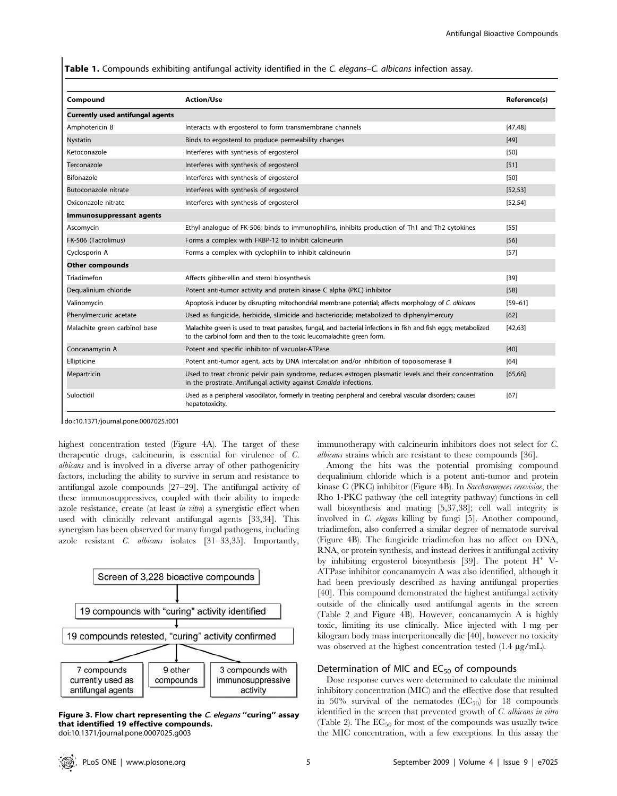Table 1. Compounds exhibiting antifungal activity identified in the C. elegans–C. albicans infection assay.

| Compound                                | <b>Action/Use</b>                                                                                                                                                                        | Reference(s) |
|-----------------------------------------|------------------------------------------------------------------------------------------------------------------------------------------------------------------------------------------|--------------|
| <b>Currently used antifungal agents</b> |                                                                                                                                                                                          |              |
| Amphotericin B                          | [47.48]<br>Interacts with ergosterol to form transmembrane channels<br>$[49]$                                                                                                            |              |
| <b>Nystatin</b>                         | Binds to ergosterol to produce permeability changes                                                                                                                                      |              |
| Ketoconazole                            | Interferes with synthesis of ergosterol                                                                                                                                                  |              |
| Terconazole                             | Interferes with synthesis of ergosterol                                                                                                                                                  |              |
| Bifonazole                              | Interferes with synthesis of ergosterol                                                                                                                                                  |              |
| Butoconazole nitrate                    | Interferes with synthesis of ergosterol                                                                                                                                                  |              |
| Oxiconazole nitrate                     | Interferes with synthesis of ergosterol                                                                                                                                                  |              |
| Immunosuppressant agents                |                                                                                                                                                                                          |              |
| Ascomycin                               | Ethyl analogue of FK-506; binds to immunophilins, inhibits production of Th1 and Th2 cytokines                                                                                           | [55]         |
| FK-506 (Tacrolimus)                     | Forms a complex with FKBP-12 to inhibit calcineurin                                                                                                                                      | [56]         |
| Cyclosporin A                           | Forms a complex with cyclophilin to inhibit calcineurin                                                                                                                                  | [57]         |
| Other compounds                         |                                                                                                                                                                                          |              |
| Triadimefon                             | Affects gibberellin and sterol biosynthesis                                                                                                                                              | [39]         |
| Dequalinium chloride                    | Potent anti-tumor activity and protein kinase C alpha (PKC) inhibitor                                                                                                                    |              |
| Valinomycin                             | Apoptosis inducer by disrupting mitochondrial membrane potential; affects morphology of C. albicans                                                                                      |              |
| Phenylmercuric acetate                  | Used as fungicide, herbicide, slimicide and bacteriocide; metabolized to diphenylmercury                                                                                                 |              |
| Malachite green carbinol base           | Malachite green is used to treat parasites, fungal, and bacterial infections in fish and fish eggs; metabolized<br>to the carbinol form and then to the toxic leucomalachite green form. |              |
| Concanamycin A                          | Potent and specific inhibitor of vacuolar-ATPase                                                                                                                                         | [40]         |
| Ellipticine                             | Potent anti-tumor agent, acts by DNA intercalation and/or inhibition of topoisomerase II                                                                                                 | [64]         |
| Mepartricin                             | Used to treat chronic pelvic pain syndrome, reduces estrogen plasmatic levels and their concentration<br>in the prostrate. Antifungal activity against Candida infections.               |              |
| Suloctidil                              | Used as a peripheral vasodilator, formerly in treating peripheral and cerebral vascular disorders; causes<br>hepatotoxicity.                                                             | [67]         |

doi:10.1371/journal.pone.0007025.t001

highest concentration tested (Figure 4A). The target of these therapeutic drugs, calcineurin, is essential for virulence of C. albicans and is involved in a diverse array of other pathogenicity factors, including the ability to survive in serum and resistance to antifungal azole compounds [27–29]. The antifungal activity of these immunosuppressives, coupled with their ability to impede azole resistance, create (at least in vitro) a synergistic effect when used with clinically relevant antifungal agents [33,34]. This synergism has been observed for many fungal pathogens, including azole resistant C. albicans isolates [31–33,35]. Importantly,



Figure 3. Flow chart representing the C. elegans "curing" assay that identified 19 effective compounds. doi:10.1371/journal.pone.0007025.g003

immunotherapy with calcineurin inhibitors does not select for C. albicans strains which are resistant to these compounds [36].

Among the hits was the potential promising compound dequalinium chloride which is a potent anti-tumor and protein kinase C (PKC) inhibitor (Figure 4B). In Saccharomyces cerevisiae, the Rho 1-PKC pathway (the cell integrity pathway) functions in cell wall biosynthesis and mating [5,37,38]; cell wall integrity is involved in C. elegans killing by fungi [5]. Another compound, triadimefon, also conferred a similar degree of nematode survival (Figure 4B). The fungicide triadimefon has no affect on DNA, RNA, or protein synthesis, and instead derives it antifungal activity by inhibiting ergosterol biosynthesis [39]. The potent  $H^+$  V-ATPase inhibitor concanamycin A was also identified, although it had been previously described as having antifungal properties [40]. This compound demonstrated the highest antifungal activity outside of the clinically used antifungal agents in the screen (Table 2 and Figure 4B). However, concanamycin A is highly toxic, limiting its use clinically. Mice injected with 1 mg per kilogram body mass interperitoneally die [40], however no toxicity was observed at the highest concentration tested (1.4  $\mu$ g/mL).

# Determination of MIC and  $EC_{50}$  of compounds

Dose response curves were determined to calculate the minimal inhibitory concentration (MIC) and the effective dose that resulted in 50% survival of the nematodes  $(EC_{50})$  for 18 compounds identified in the screen that prevented growth of C. albicans in vitro (Table 2). The  $EC_{50}$  for most of the compounds was usually twice the MIC concentration, with a few exceptions. In this assay the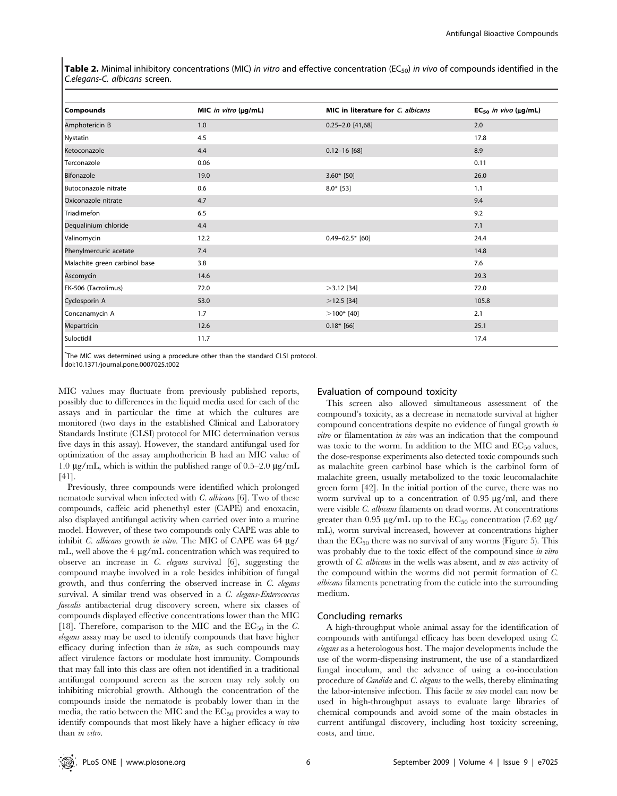**Table 2.** Minimal inhibitory concentrations (MIC) in vitro and effective concentration (EC<sub>50</sub>) in vivo of compounds identified in the C.elegans-C. albicans screen.

|                               |                      | MIC in literature for C. albicans | $EC_{50}$ in vivo ( $\mu$ g/mL) |
|-------------------------------|----------------------|-----------------------------------|---------------------------------|
| Compounds                     | MIC in vitro (µg/mL) |                                   |                                 |
| Amphotericin B                | 1.0                  | $0.25 - 2.0$ [41,68]              | 2.0                             |
| Nystatin                      | 4.5                  |                                   | 17.8                            |
| Ketoconazole                  | 4.4                  | $0.12 - 16$ [68]                  | 8.9                             |
| Terconazole                   | 0.06                 |                                   | 0.11                            |
| Bifonazole                    | 19.0                 | $3.60*$ [50]                      | 26.0                            |
| Butoconazole nitrate          | 0.6                  | $8.0*$ [53]                       | 1.1                             |
| Oxiconazole nitrate           | 4.7                  |                                   | 9.4                             |
| Triadimefon                   | 6.5                  |                                   | 9.2                             |
| Dequalinium chloride          | 4.4                  |                                   | 7.1                             |
| Valinomycin                   | 12.2                 | $0.49 - 62.5*$ [60]               | 24.4                            |
| Phenylmercuric acetate        | 7.4                  |                                   | 14.8                            |
| Malachite green carbinol base | 3.8                  |                                   | 7.6                             |
| Ascomycin                     | 14.6                 |                                   | 29.3                            |
| FK-506 (Tacrolimus)           | 72.0                 | $>3.12$ [34]                      | 72.0                            |
| Cyclosporin A                 | 53.0                 | $>12.5$ [34]                      | 105.8                           |
| Concanamycin A                | 1.7                  | $>100*$ [40]                      | 2.1                             |
| Mepartricin                   | 12.6                 | $0.18*$ [66]                      | 25.1                            |
| Suloctidil                    | 11.7                 |                                   | 17.4                            |

\* The MIC was determined using a procedure other than the standard CLSI protocol. doi:10.1371/journal.pone.0007025.t002

MIC values may fluctuate from previously published reports, possibly due to differences in the liquid media used for each of the assays and in particular the time at which the cultures are monitored (two days in the established Clinical and Laboratory Standards Institute (CLSI) protocol for MIC determination versus five days in this assay). However, the standard antifungal used for optimization of the assay amphothericin B had an MIC value of 1.0  $\mu$ g/mL, which is within the published range of 0.5–2.0  $\mu$ g/mL [41].

Previously, three compounds were identified which prolonged nematode survival when infected with C. albicans [6]. Two of these compounds, caffeic acid phenethyl ester (CAPE) and enoxacin, also displayed antifungal activity when carried over into a murine model. However, of these two compounds only CAPE was able to inhibit C. albicans growth in vitro. The MIC of CAPE was  $64 \mu g$ / mL, well above the  $4 \mu g/mL$  concentration which was required to observe an increase in C. elegans survival [6], suggesting the compound maybe involved in a role besides inhibition of fungal growth, and thus conferring the observed increase in C. elegans survival. A similar trend was observed in a C. elegans-Enterococcus faecalis antibacterial drug discovery screen, where six classes of compounds displayed effective concentrations lower than the MIC [18]. Therefore, comparison to the MIC and the  $EC_{50}$  in the C. elegans assay may be used to identify compounds that have higher efficacy during infection than in vitro, as such compounds may affect virulence factors or modulate host immunity. Compounds that may fall into this class are often not identified in a traditional antifungal compound screen as the screen may rely solely on inhibiting microbial growth. Although the concentration of the compounds inside the nematode is probably lower than in the media, the ratio between the MIC and the  $EC_{50}$  provides a way to identify compounds that most likely have a higher efficacy in vivo than in vitro.

# Evaluation of compound toxicity

This screen also allowed simultaneous assessment of the compound's toxicity, as a decrease in nematode survival at higher compound concentrations despite no evidence of fungal growth in vitro or filamentation in vivo was an indication that the compound was toxic to the worm. In addition to the MIC and  $EC_{50}$  values, the dose-response experiments also detected toxic compounds such as malachite green carbinol base which is the carbinol form of malachite green, usually metabolized to the toxic leucomalachite green form [42]. In the initial portion of the curve, there was no worm survival up to a concentration of  $0.95 \mu g/ml$ , and there were visible C. albicans filaments on dead worms. At concentrations greater than 0.95  $\mu$ g/mL up to the EC<sub>50</sub> concentration (7.62  $\mu$ g/ mL), worm survival increased, however at concentrations higher than the  $EC_{50}$  there was no survival of any worms (Figure 5). This was probably due to the toxic effect of the compound since in vitro growth of C. albicans in the wells was absent, and in vivo activity of the compound within the worms did not permit formation of C. albicans filaments penetrating from the cuticle into the surrounding medium.

## Concluding remarks

A high-throughput whole animal assay for the identification of compounds with antifungal efficacy has been developed using C. elegans as a heterologous host. The major developments include the use of the worm-dispensing instrument, the use of a standardized fungal inoculum, and the advance of using a co-inoculation procedure of Candida and C. elegans to the wells, thereby eliminating the labor-intensive infection. This facile in vivo model can now be used in high-throughput assays to evaluate large libraries of chemical compounds and avoid some of the main obstacles in current antifungal discovery, including host toxicity screening, costs, and time.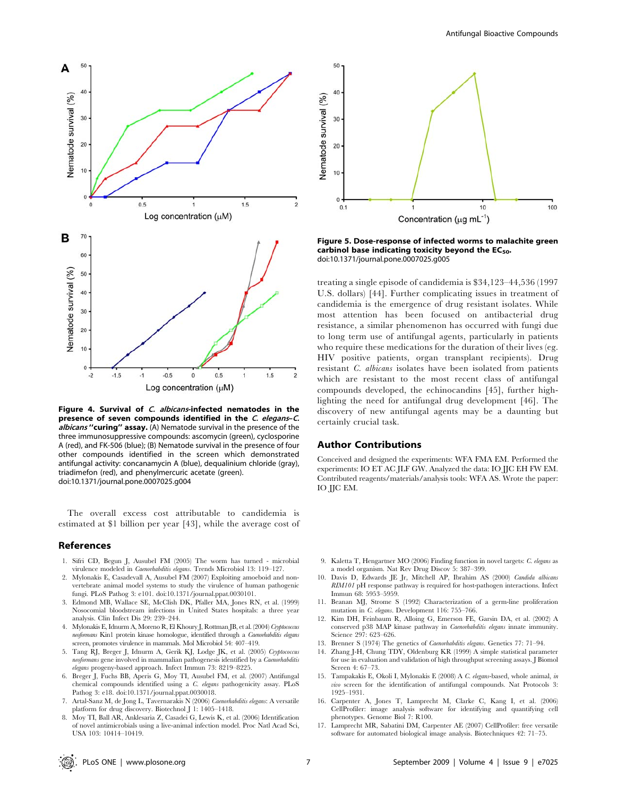

Figure 4. Survival of C. albicans-infected nematodes in the presence of seven compounds identified in the C. elegans-C. albicans ''curing'' assay. (A) Nematode survival in the presence of the three immunosuppressive compounds: ascomycin (green), cyclosporine A (red), and FK-506 (blue); (B) Nematode survival in the presence of four other compounds identified in the screen which demonstrated antifungal activity: concanamycin A (blue), dequalinium chloride (gray), triadimefon (red), and phenylmercuric acetate (green). doi:10.1371/journal.pone.0007025.g004

The overall excess cost attributable to candidemia is estimated at \$1 billion per year [43], while the average cost of

#### References

- 1. Sifri CD, Begun J, Ausubel FM (2005) The worm has turned microbial virulence modeled in Caenorhabditis elegans. Trends Microbiol 13: 119–127.
- 2. Mylonakis E, Casadevall A, Ausubel FM (2007) Exploiting amoeboid and nonvertebrate animal model systems to study the virulence of human pathogenic fungi. PLoS Pathog 3: e101. doi:10.1371/journal.ppat.0030101.
- 3. Edmond MB, Wallace SE, McClish DK, Pfaller MA, Jones RN, et al. (1999) Nosocomial bloodstream infections in United States hospitals: a three year analysis. Clin Infect Dis 29: 239–244.
- 4. Mylonakis E, Idnurm A, Moreno R, El Khoury J, Rottman JB, et al. (2004) Cryptococcus neoformans Kin1 protein kinase homologue, identified through a Caenorhabditis elegans screen, promotes virulence in mammals. Mol Microbiol 54: 407–419.
- 5. Tang RJ, Breger J, Idnurm A, Gerik KJ, Lodge JK, et al. (2005) Cryptococcus neoformans gene involved in mammalian pathogenesis identified by a Caenorhabditis elegans progeny-based approach. Infect Immun 73: 8219–8225.
- 6. Breger J, Fuchs BB, Aperis G, Moy TI, Ausubel FM, et al. (2007) Antifungal chemical compounds identified using a C. elegans pathogenicity assay. PLoS Pathog 3: e18. doi:10.1371/journal.ppat.0030018.
- 7. Artal-Sanz M, de Jong L, Tavernarakis N (2006) Caenorhabditis elegans: A versatile platform for drug discovery. Biotechnol J 1: 1405–1418.
- 8. Moy TI, Ball AR, Anklesaria Z, Casadei G, Lewis K, et al. (2006) Identification of novel antimicrobials using a live-animal infection model. Proc Natl Acad Sci, USA 103: 10414–10419.



Figure 5. Dose-response of infected worms to malachite green carbinol base indicating toxicity beyond the  $EC_{50}$ . doi:10.1371/journal.pone.0007025.g005

treating a single episode of candidemia is \$34,123–44,536 (1997 U.S. dollars) [44]. Further complicating issues in treatment of candidemia is the emergence of drug resistant isolates. While most attention has been focused on antibacterial drug resistance, a similar phenomenon has occurred with fungi due to long term use of antifungal agents, particularly in patients who require these medications for the duration of their lives (eg. HIV positive patients, organ transplant recipients). Drug resistant C. albicans isolates have been isolated from patients which are resistant to the most recent class of antifungal compounds developed, the echinocandins [45], further highlighting the need for antifungal drug development [46]. The discovery of new antifungal agents may be a daunting but certainly crucial task.

#### Author Contributions

Conceived and designed the experiments: WFA FMA EM. Performed the experiments: IO ET AC JLF GW. Analyzed the data: IO JJC EH FW EM. Contributed reagents/materials/analysis tools: WFA AS. Wrote the paper: IO JJC EM.

- 9. Kaletta T, Hengartner MO (2006) Finding function in novel targets: C. elegans as a model organism. Nat Rev Drug Discov 5: 387–399.
- 10. Davis D, Edwards JE Jr, Mitchell AP, Ibrahim AS (2000) Candida albicans RIM101 pH response pathway is required for host-pathogen interactions. Infect Immun 68: 5953–5959.
- 11. Beanan MJ, Strome S (1992) Characterization of a germ-line proliferation mutation in C. elegans. Development 116: 755–766.
- 12. Kim DH, Feinbaum R, Alloing G, Emerson FE, Garsin DA, et al. (2002) A conserved p38 MAP kinase pathway in Caenorhabditis elegans innate immunity. Science 297: 623–626.
- 13. Brenner S (1974) The genetics of Caenorhabditis elegans. Genetics 77: 71–94.
- 14. Zhang J-H, Chung TDY, Oldenburg KR (1999) A simple statistical parameter for use in evaluation and validation of high throughput screening assays. J Biomol Screen 4: 67–73.
- 15. Tampakakis E, Okoli I, Mylonakis E (2008) A C. elegans-based, whole animal, in vivo screen for the identification of antifungal compounds. Nat Protocols 3: 1925–1931.
- 16. Carpenter A, Jones T, Lamprecht M, Clarke C, Kang I, et al. (2006) CellProfiler: image analysis software for identifying and quantifying cell phenotypes. Genome Biol 7: R100.
- 17. Lamprecht MR, Sabatini DM, Carpenter AE (2007) CellProfiler: free versatile software for automated biological image analysis. Biotechniques 42: 71–75.